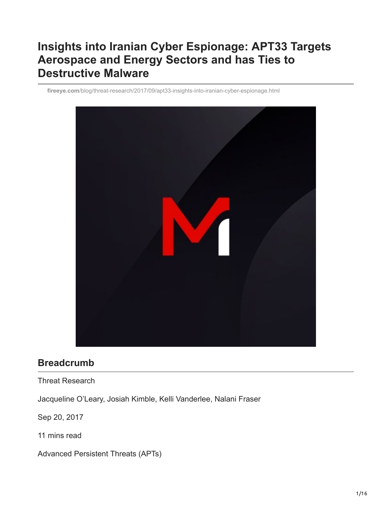# **Insights into Iranian Cyber Espionage: APT33 Targets Aerospace and Energy Sectors and has Ties to Destructive Malware**

**fireeye.com**[/blog/threat-research/2017/09/apt33-insights-into-iranian-cyber-espionage.html](https://www.fireeye.com/blog/threat-research/2017/09/apt33-insights-into-iranian-cyber-espionage.html)



## **Breadcrumb**

Threat Research

Jacqueline O'Leary, Josiah Kimble, Kelli Vanderlee, Nalani Fraser

Sep 20, 2017

11 mins read

Advanced Persistent Threats (APTs)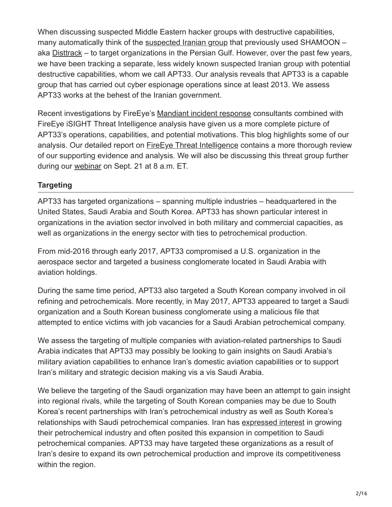When discussing suspected Middle Eastern hacker groups with destructive capabilities, many automatically think of the [suspected Iranian group](https://www.mandiant.com/resources/fireeye_responds-wave-desctructive) that previously used SHAMOON – aka [Disttrack](https://www.microsoft.com/en-us/wdsi/threats/malware-encyclopedia-description?Name=Trojan%3AWin32%2FWipMBR.B) – to target organizations in the Persian Gulf. However, over the past few years, we have been tracking a separate, less widely known suspected Iranian group with potential destructive capabilities, whom we call APT33. Our analysis reveals that APT33 is a capable group that has carried out cyber espionage operations since at least 2013. We assess APT33 works at the behest of the Iranian government.

Recent investigations by FireEye's [Mandiant incident response](https://www.fireeye.com/advantage) consultants combined with FireEye iSIGHT Threat Intelligence analysis have given us a more complete picture of APT33's operations, capabilities, and potential motivations. This blog highlights some of our analysis. Our detailed report on [FireEye Threat Intelligence](https://www.fireeye.com/mandiant/threat-intelligence/threat-intelligence-subscriptions.html%23dismiss-lightbox) contains a more thorough review of our supporting evidence and analysis. We will also be discussing this threat group further during our [webinar](https://www.brighttalk.com/webcast/10703/275683?utm_source=FireEye_blog) on Sept. 21 at 8 a.m. ET.

#### **Targeting**

APT33 has targeted organizations – spanning multiple industries – headquartered in the United States, Saudi Arabia and South Korea. APT33 has shown particular interest in organizations in the aviation sector involved in both military and commercial capacities, as well as organizations in the energy sector with ties to petrochemical production.

From mid-2016 through early 2017, APT33 compromised a U.S. organization in the aerospace sector and targeted a business conglomerate located in Saudi Arabia with aviation holdings.

During the same time period, APT33 also targeted a South Korean company involved in oil refining and petrochemicals. More recently, in May 2017, APT33 appeared to target a Saudi organization and a South Korean business conglomerate using a malicious file that attempted to entice victims with job vacancies for a Saudi Arabian petrochemical company.

We assess the targeting of multiple companies with aviation-related partnerships to Saudi Arabia indicates that APT33 may possibly be looking to gain insights on Saudi Arabia's military aviation capabilities to enhance Iran's domestic aviation capabilities or to support Iran's military and strategic decision making vis a vis Saudi Arabia.

We believe the targeting of the Saudi organization may have been an attempt to gain insight into regional rivals, while the targeting of South Korean companies may be due to South Korea's recent partnerships with Iran's petrochemical industry as well as South Korea's relationships with Saudi petrochemical companies. Iran has [expressed interest](https://financialtribune.com/articles/energy/41665/call-for-restoring-past-petrochemical-status) in growing their petrochemical industry and often posited this expansion in competition to Saudi petrochemical companies. APT33 may have targeted these organizations as a result of Iran's desire to expand its own petrochemical production and improve its competitiveness within the region.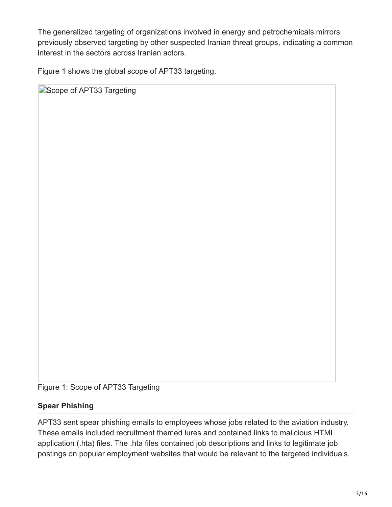The generalized targeting of organizations involved in energy and petrochemicals mirrors previously observed targeting by other suspected Iranian threat groups, indicating a common interest in the sectors across Iranian actors.

Figure 1 shows the global scope of APT33 targeting.

Scope of APT33 Targeting

Figure 1: Scope of APT33 Targeting

#### **Spear Phishing**

APT33 sent spear phishing emails to employees whose jobs related to the aviation industry. These emails included recruitment themed lures and contained links to malicious HTML application (.hta) files. The .hta files contained job descriptions and links to legitimate job postings on popular employment websites that would be relevant to the targeted individuals.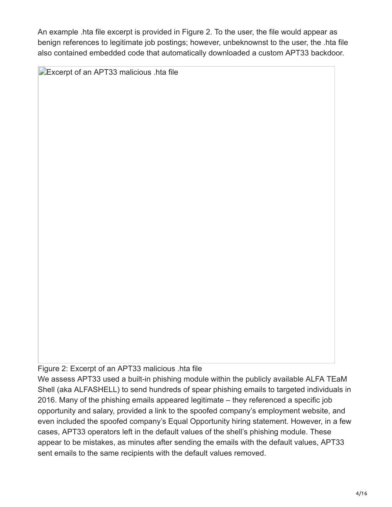An example .hta file excerpt is provided in Figure 2. To the user, the file would appear as benign references to legitimate job postings; however, unbeknownst to the user, the .hta file also contained embedded code that automatically downloaded a custom APT33 backdoor.

**Excerpt of an APT33 malicious .hta file** 

Figure 2: Excerpt of an APT33 malicious .hta file

We assess APT33 used a built-in phishing module within the publicly available ALFA TEaM Shell (aka ALFASHELL) to send hundreds of spear phishing emails to targeted individuals in 2016. Many of the phishing emails appeared legitimate – they referenced a specific job opportunity and salary, provided a link to the spoofed company's employment website, and even included the spoofed company's Equal Opportunity hiring statement. However, in a few cases, APT33 operators left in the default values of the shell's phishing module. These appear to be mistakes, as minutes after sending the emails with the default values, APT33 sent emails to the same recipients with the default values removed.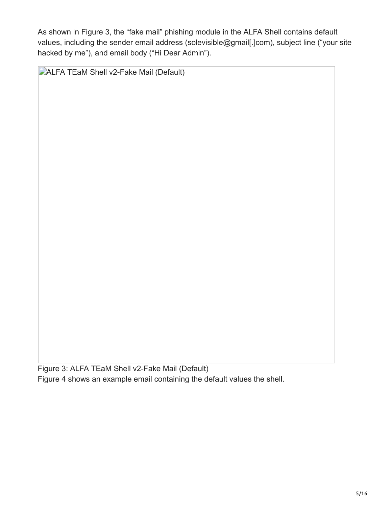As shown in Figure 3, the "fake mail" phishing module in the ALFA Shell contains default values, including the sender email address (solevisible@gmail[.]com), subject line ("your site hacked by me"), and email body ("Hi Dear Admin").

**DALFA TEaM Shell v2-Fake Mail (Default)** 

Figure 3: ALFA TEaM Shell v2-Fake Mail (Default) Figure 4 shows an example email containing the default values the shell.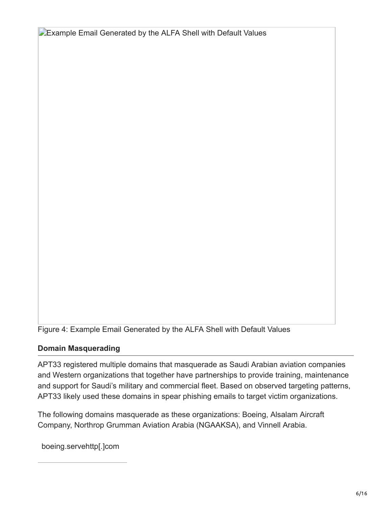**Example Email Generated by the ALFA Shell with Default Values** 

Figure 4: Example Email Generated by the ALFA Shell with Default Values

#### **Domain Masquerading**

APT33 registered multiple domains that masquerade as Saudi Arabian aviation companies and Western organizations that together have partnerships to provide training, maintenance and support for Saudi's military and commercial fleet. Based on observed targeting patterns, APT33 likely used these domains in spear phishing emails to target victim organizations.

The following domains masquerade as these organizations: Boeing, Alsalam Aircraft Company, Northrop Grumman Aviation Arabia (NGAAKSA), and Vinnell Arabia.

boeing.servehttp[.]com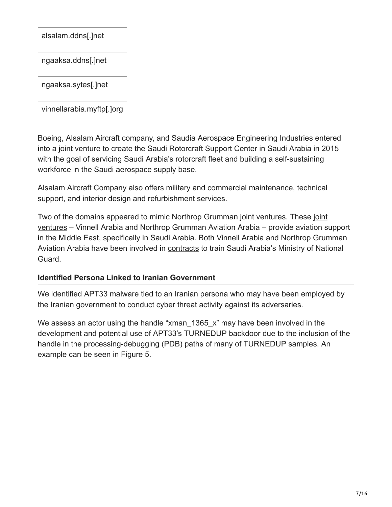alsalam.ddns[.]net

ngaaksa.ddns[.]net

ngaaksa.sytes[.]net

vinnellarabia.myftp[.]org

Boeing, Alsalam Aircraft company, and Saudia Aerospace Engineering Industries entered into a [joint venture](https://boeing.mediaroom.com/2015-08-26-Boeing-Saudia-Aerospace-Engineering-Industries-and-Alsalam-Aircraft-Company-to-Establish-Saudi-Rotorcraft-Support-Center-in-Saudi-Arabia) to create the Saudi Rotorcraft Support Center in Saudi Arabia in 2015 with the goal of servicing Saudi Arabia's rotorcraft fleet and building a self-sustaining workforce in the Saudi aerospace supply base.

Alsalam Aircraft Company also offers military and commercial maintenance, technical support, and interior design and refurbishment services.

Two of the domains appeared to mimic Northrop Grumman joint ventures. These joint [ventures – Vinnell Arabia and Northrop Grumman Aviation Arabia – provide aviation s](https://www.northropgrumman.com/what-we-do/land/enabling-the-us-army-to-dominate-in-every-domain/)upport in the Middle East, specifically in Saudi Arabia. Both Vinnell Arabia and Northrop Grumman Aviation Arabia have been involved in **contracts** to train Saudi Arabia's Ministry of National Guard.

#### **Identified Persona Linked to Iranian Government**

We identified APT33 malware tied to an Iranian persona who may have been employed by the Iranian government to conduct cyber threat activity against its adversaries.

We assess an actor using the handle "xman  $1365\ x$ " may have been involved in the development and potential use of APT33's TURNEDUP backdoor due to the inclusion of the handle in the processing-debugging (PDB) paths of many of TURNEDUP samples. An example can be seen in Figure 5.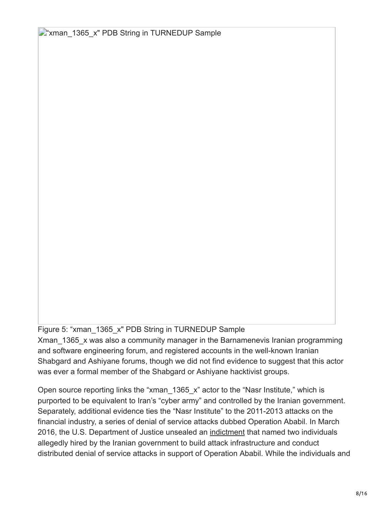**X** xman 1365 x" PDB String in TURNEDUP Sample

Figure 5: "xman\_1365\_x" PDB String in TURNEDUP Sample

Xman 1365 x was also a community manager in the Barnamenevis Iranian programming and software engineering forum, and registered accounts in the well-known Iranian Shabgard and Ashiyane forums, though we did not find evidence to suggest that this actor was ever a formal member of the Shabgard or Ashiyane hacktivist groups.

Open source reporting links the "xman  $1365\,x$ " actor to the "Nasr Institute," which is purported to be equivalent to Iran's "cyber army" and controlled by the Iranian government. Separately, additional evidence ties the "Nasr Institute" to the 2011-2013 attacks on the financial industry, a series of denial of service attacks dubbed Operation Ababil. In March 2016, the U.S. Department of Justice unsealed an [indictment](https://www.justice.gov/usao-sdny/file/835061/download) that named two individuals allegedly hired by the Iranian government to build attack infrastructure and conduct distributed denial of service attacks in support of Operation Ababil. While the individuals and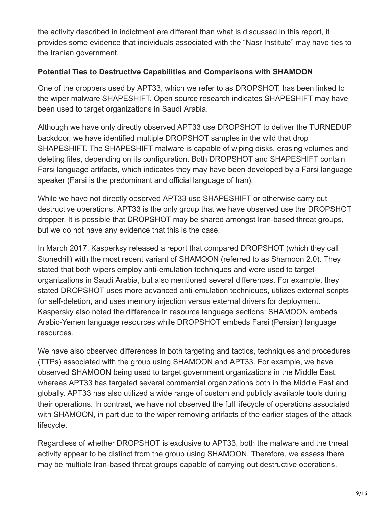the activity described in indictment are different than what is discussed in this report, it provides some evidence that individuals associated with the "Nasr Institute" may have ties to the Iranian government.

### **Potential Ties to Destructive Capabilities and Comparisons with SHAMOON**

One of the droppers used by APT33, which we refer to as DROPSHOT, has been linked to the wiper malware SHAPESHIFT. Open source research indicates SHAPESHIFT may have been used to target organizations in Saudi Arabia.

Although we have only directly observed APT33 use DROPSHOT to deliver the TURNEDUP backdoor, we have identified multiple DROPSHOT samples in the wild that drop SHAPESHIFT. The SHAPESHIFT malware is capable of wiping disks, erasing volumes and deleting files, depending on its configuration. Both DROPSHOT and SHAPESHIFT contain Farsi language artifacts, which indicates they may have been developed by a Farsi language speaker (Farsi is the predominant and official language of Iran).

While we have not directly observed APT33 use SHAPESHIFT or otherwise carry out destructive operations, APT33 is the only group that we have observed use the DROPSHOT dropper. It is possible that DROPSHOT may be shared amongst Iran-based threat groups, but we do not have any evidence that this is the case.

In March 2017, Kasperksy released a report that compared DROPSHOT (which they call Stonedrill) with the most recent variant of SHAMOON (referred to as Shamoon 2.0). They stated that both wipers employ anti-emulation techniques and were used to target organizations in Saudi Arabia, but also mentioned several differences. For example, they stated DROPSHOT uses more advanced anti-emulation techniques, utilizes external scripts for self-deletion, and uses memory injection versus external drivers for deployment. Kaspersky also noted the difference in resource language sections: SHAMOON embeds Arabic-Yemen language resources while DROPSHOT embeds Farsi (Persian) language resources.

We have also observed differences in both targeting and tactics, techniques and procedures (TTPs) associated with the group using SHAMOON and APT33. For example, we have observed SHAMOON being used to target government organizations in the Middle East, whereas APT33 has targeted several commercial organizations both in the Middle East and globally. APT33 has also utilized a wide range of custom and publicly available tools during their operations. In contrast, we have not observed the full lifecycle of operations associated with SHAMOON, in part due to the wiper removing artifacts of the earlier stages of the attack lifecycle.

Regardless of whether DROPSHOT is exclusive to APT33, both the malware and the threat activity appear to be distinct from the group using SHAMOON. Therefore, we assess there may be multiple Iran-based threat groups capable of carrying out destructive operations.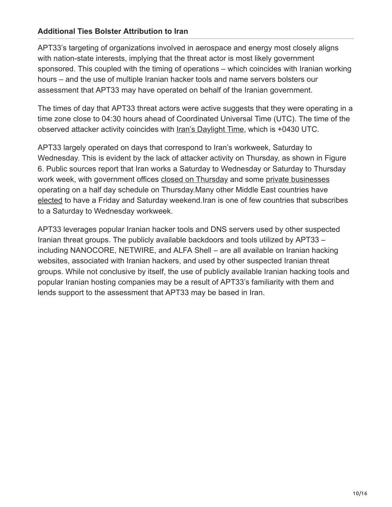#### **Additional Ties Bolster Attribution to Iran**

APT33's targeting of organizations involved in aerospace and energy most closely aligns with nation-state interests, implying that the threat actor is most likely government sponsored. This coupled with the timing of operations – which coincides with Iranian working hours – and the use of multiple Iranian hacker tools and name servers bolsters our assessment that APT33 may have operated on behalf of the Iranian government.

The times of day that APT33 threat actors were active suggests that they were operating in a time zone close to 04:30 hours ahead of Coordinated Universal Time (UTC). The time of the observed attacker activity coincides with [Iran's Daylight Time](https://www.timeanddate.com/time/zones/irdt), which is +0430 UTC.

APT33 largely operated on days that correspond to Iran's workweek, Saturday to Wednesday. This is evident by the lack of attacker activity on Thursday, as shown in Figure 6. Public sources report that Iran works a Saturday to Wednesday or Saturday to Thursday work week, with government offices [closed on Thursday](https://financialtribune.com/articles/travel/59580/weekend-reform-proposal-rejected) and some [private businesses](http://www.irdiplomacy.ir/en/news/1959937/will-iran-change-weekends-to-friday-and-saturday-) operating on a half day schedule on Thursday.Many other Middle East countries have [elected](https://www.wsj.com/articles/BL-250B-363) to have a Friday and Saturday weekend.Iran is one of few countries that subscribes to a Saturday to Wednesday workweek.

APT33 leverages popular Iranian hacker tools and DNS servers used by other suspected Iranian threat groups. The publicly available backdoors and tools utilized by APT33 – including NANOCORE, NETWIRE, and ALFA Shell – are all available on Iranian hacking websites, associated with Iranian hackers, and used by other suspected Iranian threat groups. While not conclusive by itself, the use of publicly available Iranian hacking tools and popular Iranian hosting companies may be a result of APT33's familiarity with them and lends support to the assessment that APT33 may be based in Iran.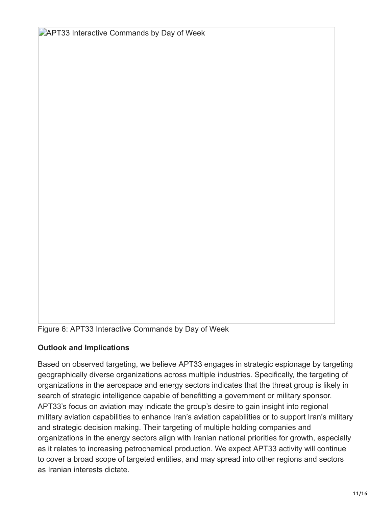**APT33 Interactive Commands by Day of Week** 

Figure 6: APT33 Interactive Commands by Day of Week

#### **Outlook and Implications**

Based on observed targeting, we believe APT33 engages in strategic espionage by targeting geographically diverse organizations across multiple industries. Specifically, the targeting of organizations in the aerospace and energy sectors indicates that the threat group is likely in search of strategic intelligence capable of benefitting a government or military sponsor. APT33's focus on aviation may indicate the group's desire to gain insight into regional military aviation capabilities to enhance Iran's aviation capabilities or to support Iran's military and strategic decision making. Their targeting of multiple holding companies and organizations in the energy sectors align with Iranian national priorities for growth, especially as it relates to increasing petrochemical production. We expect APT33 activity will continue to cover a broad scope of targeted entities, and may spread into other regions and sectors as Iranian interests dictate.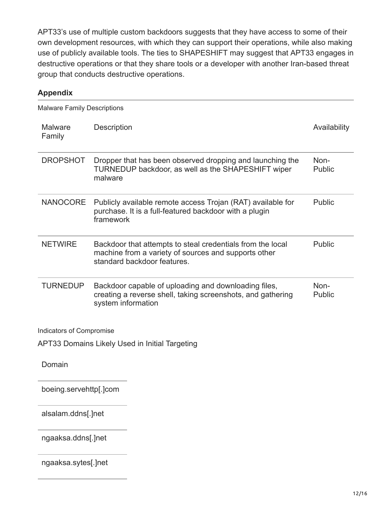APT33's use of multiple custom backdoors suggests that they have access to some of their own development resources, with which they can support their operations, while also making use of publicly available tools. The ties to SHAPESHIFT may suggest that APT33 engages in destructive operations or that they share tools or a developer with another Iran-based threat group that conducts destructive operations.

#### **Appendix**

Malware Family Descriptions **Malware** Family Description **Availability** DROPSHOT Dropper that has been observed dropping and launching the TURNEDUP backdoor, as well as the SHAPESHIFT wiper malware Non-Public NANOCORE Publicly available remote access Trojan (RAT) available for purchase. It is a full-featured backdoor with a plugin framework Public NETWIRE Backdoor that attempts to steal credentials from the local machine from a variety of sources and supports other standard backdoor features. Public TURNEDUP Backdoor capable of uploading and downloading files, creating a reverse shell, taking screenshots, and gathering system information Non-Public

Indicators of Compromise

APT33 Domains Likely Used in Initial Targeting

Domain

boeing.servehttp[.]com

alsalam.ddns[.]net

ngaaksa.ddns[.]net

ngaaksa.sytes[.]net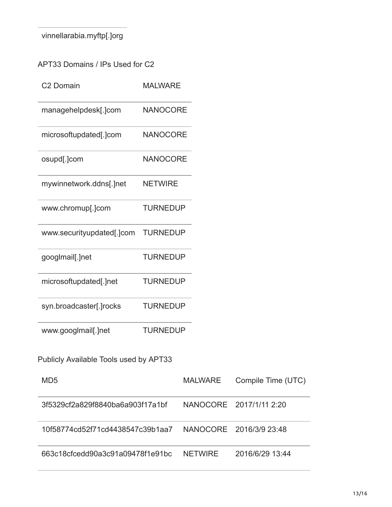vinnellarabia.myftp[.]org

| C2 Domain                              | <b>MALWARE</b>  |                |                         |
|----------------------------------------|-----------------|----------------|-------------------------|
| managehelpdesk[.]com                   | <b>NANOCORE</b> |                |                         |
| microsoftupdated[.]com                 | <b>NANOCORE</b> |                |                         |
| osupd[.]com                            | <b>NANOCORE</b> |                |                         |
| mywinnetwork.ddns[.]net                | <b>NETWIRE</b>  |                |                         |
| www.chromup[.]com                      | <b>TURNEDUP</b> |                |                         |
| www.securityupdated[.]com              | <b>TURNEDUP</b> |                |                         |
| googlmail[.]net                        | <b>TURNEDUP</b> |                |                         |
| microsoftupdated[.]net                 | <b>TURNEDUP</b> |                |                         |
| syn.broadcaster[.]rocks                | <b>TURNEDUP</b> |                |                         |
| www.googlmail[.]net                    | <b>TURNEDUP</b> |                |                         |
| Publicly Available Tools used by APT33 |                 |                |                         |
| MD <sub>5</sub>                        |                 | <b>MALWARE</b> | Compile Time (UTC)      |
| 3f5329cf2a829f8840ba6a903f17a1bf       |                 |                | NANOCORE 2017/1/11 2:20 |
| 10f58774cd52f71cd4438547c39b1aa7       |                 |                | NANOCORE 2016/3/9 23:48 |
| 663c18cfcedd90a3c91a09478f1e91bc       |                 | <b>NETWIRE</b> | 2016/6/29 13:44         |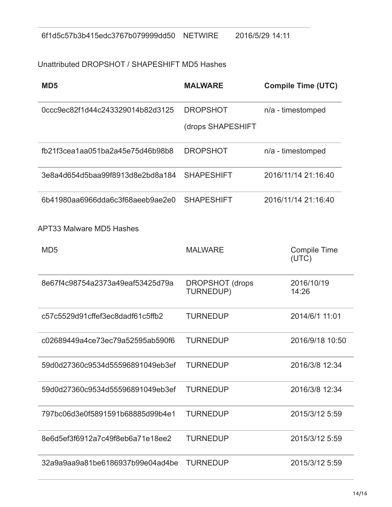## Unattributed DROPSHOT / SHAPESHIFT MD5 Hashes

| MD <sub>5</sub>                  | <b>MALWARE</b>                      | <b>Compile Time (UTC)</b>    |
|----------------------------------|-------------------------------------|------------------------------|
| 0ccc9ec82f1d44c243329014b82d3125 | <b>DROPSHOT</b>                     | n/a - timestomped            |
|                                  | (drops SHAPESHIFT                   |                              |
| fb21f3cea1aa051ba2a45e75d46b98b8 | <b>DROPSHOT</b>                     | n/a - timestomped            |
| 3e8a4d654d5baa99f8913d8e2bd8a184 | <b>SHAPESHIFT</b>                   | 2016/11/14 21:16:40          |
| 6b41980aa6966dda6c3f68aeeb9ae2e0 | <b>SHAPESHIFT</b>                   | 2016/11/14 21:16:40          |
| <b>APT33 Malware MD5 Hashes</b>  |                                     |                              |
| MD <sub>5</sub>                  | <b>MALWARE</b>                      | <b>Compile Time</b><br>(UTC) |
| 8e67f4c98754a2373a49eaf53425d79a | <b>DROPSHOT</b> (drops<br>TURNEDUP) | 2016/10/19<br>14:26          |
| c57c5529d91cffef3ec8dadf61c5ffb2 | <b>TURNEDUP</b>                     | 2014/6/1 11:01               |
| c02689449a4ce73ec79a52595ab590f6 | <b>TURNEDUP</b>                     | 2016/9/18 10:50              |
| 59d0d27360c9534d55596891049eb3ef | <b>TURNEDUP</b>                     | 2016/3/8 12:34               |
| 59d0d27360c9534d55596891049eb3ef | <b>TURNEDUP</b>                     | 2016/3/8 12:34               |
| 797bc06d3e0f5891591b68885d99b4e1 | <b>TURNEDUP</b>                     | 2015/3/12 5:59               |
| 8e6d5ef3f6912a7c49f8eb6a71e18ee2 | <b>TURNEDUP</b>                     | 2015/3/12 5:59               |
| 32a9a9aa9a81be6186937b99e04ad4be | <b>TURNEDUP</b>                     | 2015/3/12 5:59               |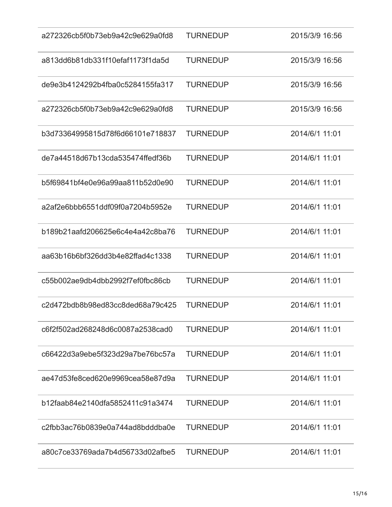| a272326cb5f0b73eb9a42c9e629a0fd8 | <b>TURNEDUP</b> | 2015/3/9 16:56 |
|----------------------------------|-----------------|----------------|
| a813dd6b81db331f10efaf1173f1da5d | <b>TURNEDUP</b> | 2015/3/9 16:56 |
| de9e3b4124292b4fba0c5284155fa317 | <b>TURNEDUP</b> | 2015/3/9 16:56 |
| a272326cb5f0b73eb9a42c9e629a0fd8 | <b>TURNEDUP</b> | 2015/3/9 16:56 |
| b3d73364995815d78f6d66101e718837 | <b>TURNEDUP</b> | 2014/6/1 11:01 |
| de7a44518d67b13cda535474ffedf36b | <b>TURNEDUP</b> | 2014/6/1 11:01 |
| b5f69841bf4e0e96a99aa811b52d0e90 | <b>TURNEDUP</b> | 2014/6/1 11:01 |
| a2af2e6bbb6551ddf09f0a7204b5952e | <b>TURNEDUP</b> | 2014/6/1 11:01 |
| b189b21aafd206625e6c4e4a42c8ba76 | <b>TURNEDUP</b> | 2014/6/1 11:01 |
| aa63b16b6bf326dd3b4e82ffad4c1338 | <b>TURNEDUP</b> | 2014/6/1 11:01 |
| c55b002ae9db4dbb2992f7ef0fbc86cb | <b>TURNEDUP</b> | 2014/6/1 11:01 |
| c2d472bdb8b98ed83cc8ded68a79c425 | <b>TURNEDUP</b> | 2014/6/1 11:01 |
| c6f2f502ad268248d6c0087a2538cad0 | <b>TURNEDUP</b> | 2014/6/1 11:01 |
| c66422d3a9ebe5f323d29a7be76bc57a | <b>TURNEDUP</b> | 2014/6/1 11:01 |
| ae47d53fe8ced620e9969cea58e87d9a | <b>TURNEDUP</b> | 2014/6/1 11:01 |
| b12faab84e2140dfa5852411c91a3474 | <b>TURNEDUP</b> | 2014/6/1 11:01 |
| c2fbb3ac76b0839e0a744ad8bdddba0e | <b>TURNEDUP</b> | 2014/6/1 11:01 |
| a80c7ce33769ada7b4d56733d02afbe5 | <b>TURNEDUP</b> | 2014/6/1 11:01 |